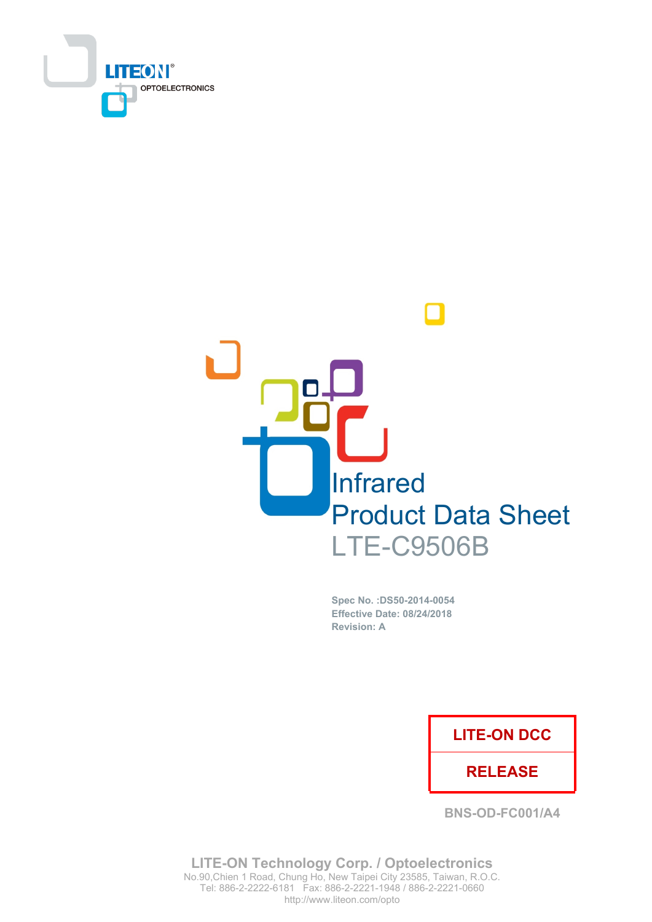



Spec No. : DS50-2014-0054 **Effective Date: 08/24/2018 Revision: A** 

### **LITE-ON DCC**

### **RELEASE**

**BNS-OD-FC001/A4** 

**LITE-ON Technology Corp. / Optoelectronics** No.90, Chien 1 Road, Chung Ho, New Taipei City 23585, Taiwan, R.O.C. Tel: 886-2-2222-6181 Fax: 886-2-2221-1948 / 886-2-2221-0660 http://www.liteon.com/opto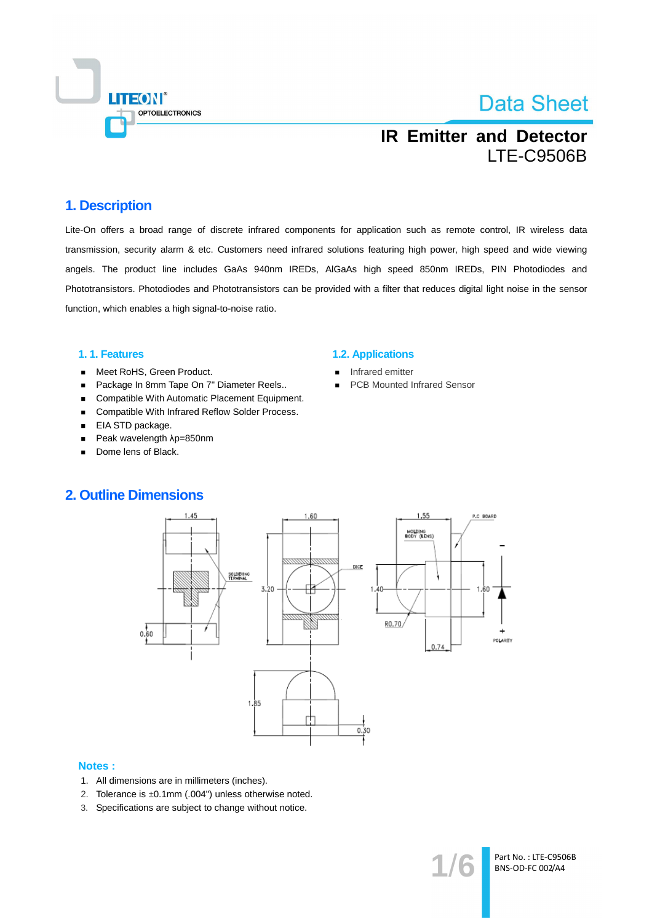

## **IR Emitter and Detector LTE-C9506B**

### 1. Description

Lite-On offers a broad range of discrete infrared components for application such as remote control, IR wireless data transmission, security alarm & etc. Customers need infrared solutions featuring high power, high speed and wide viewing angels. The product line includes GaAs 940nm IREDs, AIGaAs high speed 850nm IREDs, PIN Photodiodes and Phototransistors. Photodiodes and Phototransistors can be provided with a filter that reduces digital light noise in the sensor function, which enables a high signal-to-noise ratio.

### 1.1. Features

- Meet RoHS, Green Product.  $\blacksquare$
- Package In 8mm Tape On 7" Diameter Reels..  $\blacksquare$
- Compatible With Automatic Placement Equipment.  $\blacksquare$
- Compatible With Infrared Reflow Solder Process.  $\blacksquare$
- EIA STD package.  $\blacksquare$
- Peak wavelength  $\lambda$ p=850nm  $\blacksquare$
- Dome lens of Black.

#### **1.2. Applications**

- Infrared emitter
- **PCB Mounted Infrared Sensor**



#### **Notes:**

- 1. All dimensions are in millimeters (inches).
- 2. Tolerance is ±0.1mm (.004") unless otherwise noted.
- 3. Specifications are subject to change without notice.

Part No.: LTE-C9506B BNS-OD-FC 002/A4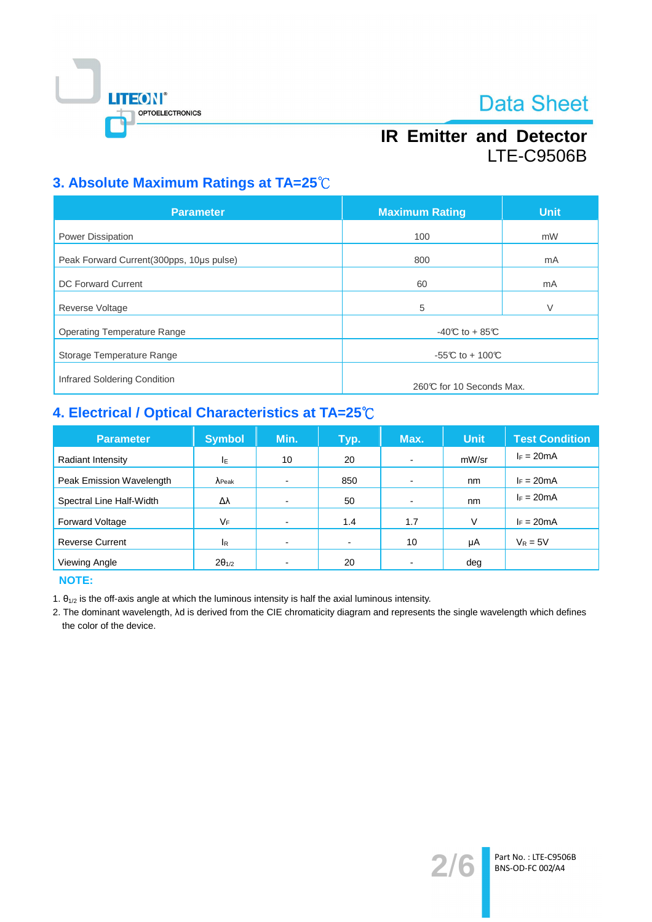

## **IR Emitter and Detector LTE-C9506B**

## 3. Absolute Maximum Ratings at TA=25°C

| <b>Parameter</b>                         | <b>Maximum Rating</b>    | <b>Unit</b> |  |
|------------------------------------------|--------------------------|-------------|--|
| <b>Power Dissipation</b>                 | 100                      | mW          |  |
| Peak Forward Current(300pps, 10µs pulse) | 800                      | mA          |  |
| <b>DC Forward Current</b>                | 60                       | mA          |  |
| <b>Reverse Voltage</b>                   | 5                        | V           |  |
| <b>Operating Temperature Range</b>       | $-40C$ to $+85C$         |             |  |
| Storage Temperature Range                | -55°C to + 100°C         |             |  |
| Infrared Soldering Condition             | 260℃ for 10 Seconds Max. |             |  |

## 4. Electrical / Optical Characteristics at TA=25°C

| <b>Parameter</b>         | <b>Symbol</b>   | Min. | Typ.           | Max.                     | <b>Unit</b> | <b>Test Condition</b> |
|--------------------------|-----------------|------|----------------|--------------------------|-------------|-----------------------|
| Radiant Intensity        | ΙE              | 10   | 20             | ٠                        | mW/sr       | $I_F = 20mA$          |
| Peak Emission Wavelength | $\lambda$ Peak  |      | 850            | $\overline{\phantom{0}}$ | nm          | $I_F = 20mA$          |
| Spectral Line Half-Width | Δλ              |      | 50             | $\overline{\phantom{0}}$ | nm          | $I_F = 20mA$          |
| <b>Forward Voltage</b>   | VF              |      | 1.4            | 1.7                      | V           | $I_F = 20mA$          |
| <b>Reverse Current</b>   | <sup>I</sup> R  |      | $\blacksquare$ | 10                       | μA          | $V_R = 5V$            |
| Viewing Angle            | $2\theta_{1/2}$ |      | 20             | -                        | deg         |                       |

**NOTE:** 

1.  $\theta_{1/2}$  is the off-axis angle at which the luminous intensity is half the axial luminous intensity.

2. The dominant wavelength, Ad is derived from the CIE chromaticity diagram and represents the single wavelength which defines the color of the device.

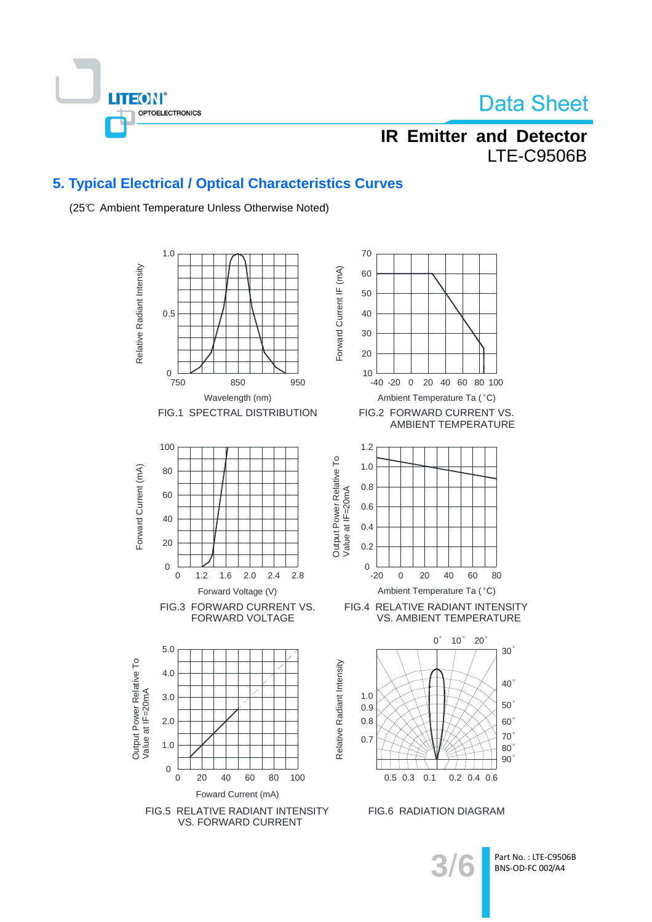

## **IR Emitter and Detector LTE-C9506B**

### 5. Typical Electrical / Optical Characteristics Curves

(25℃ Ambient Temperature Unless Otherwise Noted)

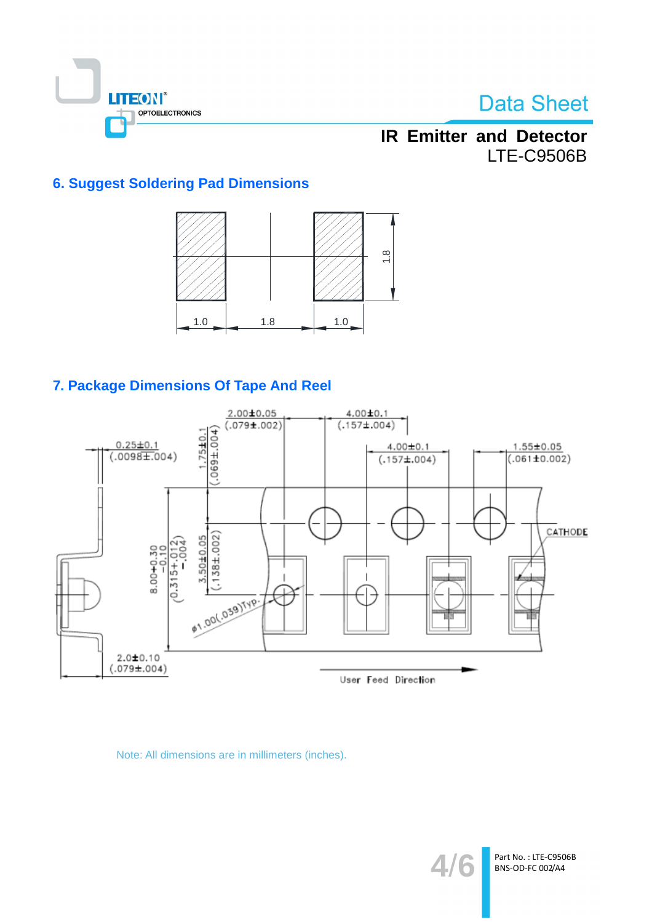

## **IR Emitter and Detector LTE-C9506B**

### **6. Suggest Soldering Pad Dimensions**



### 7. Package Dimensions Of Tape And Reel



Note: All dimensions are in millimeters (inches).

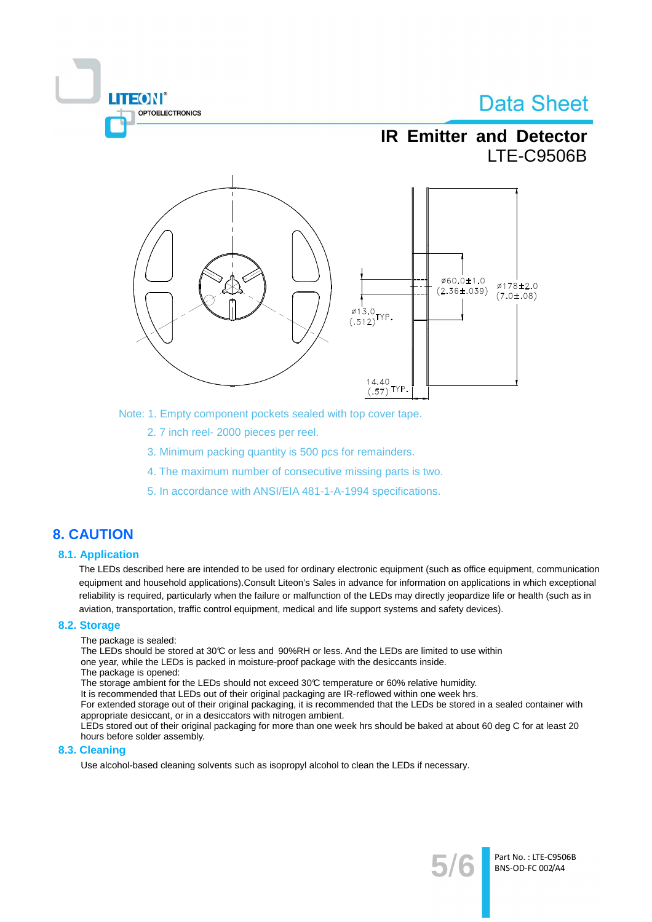

Note: 1. Empty component pockets sealed with top cover tape.

- 2.7 inch reel-2000 pieces per reel.
- 3. Minimum packing quantity is 500 pcs for remainders.
- 4. The maximum number of consecutive missing parts is two.
- 5. In accordance with ANSI/EIA 481-1-A-1994 specifications.

### **8. CAUTION**

### **8.1. Application**

The LEDs described here are intended to be used for ordinary electronic equipment (such as office equipment, communication equipment and household applications). Consult Liteon's Sales in advance for information on applications in which exceptional reliability is required, particularly when the failure or malfunction of the LEDs may directly jeopardize life or health (such as in aviation, transportation, traffic control equipment, medical and life support systems and safety devices).

#### 8.2. Storage

The package is sealed:

**TEON** 

The LEDs should be stored at 30°C or less and 90%RH or less. And the LEDs are limited to use within one year, while the LEDs is packed in moisture-proof package with the desiccants inside.

The package is opened:

The storage ambient for the LEDs should not exceed 30°C temperature or 60% relative humidity.

It is recommended that LEDs out of their original packaging are IR-reflowed within one week hrs.

For extended storage out of their original packaging, it is recommended that the LEDs be stored in a sealed container with appropriate desiccant, or in a desiccators with nitrogen ambient.

LEDs stored out of their original packaging for more than one week hrs should be baked at about 60 deg C for at least 20 hours before solder assembly.

#### 8.3. Cleaning

Use alcohol-based cleaning solvents such as isopropyl alcohol to clean the LEDs if necessary.